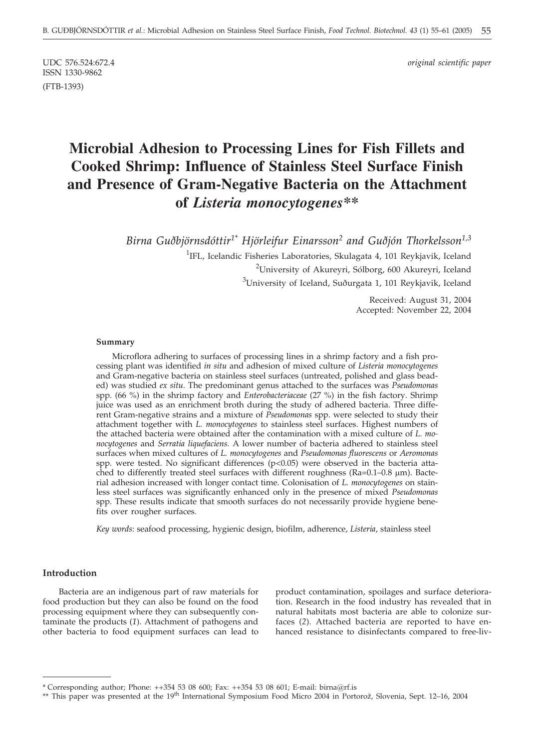ISSN 1330-9862 (FTB-1393)

UDC 576.524:672.4 *original scientific paper*

# **Microbial Adhesion to Processing Lines for Fish Fillets and Cooked Shrimp: Influence of Stainless Steel Surface Finish and Presence of Gram-Negative Bacteria on the Attachment of** *Listeria monocytogenes\*\**

*Birna Guðbjörnsdóttir1\* Hjörleifur Einarsson2 and Guðjón Thorkelsson1,3*

<sup>1</sup>IFL, Icelandic Fisheries Laboratories, Skulagata 4, 101 Reykjavik, Iceland <sup>2</sup>University of Akureyri, Sólborg, 600 Akureyri, Iceland <sup>3</sup>University of Iceland, Suðurgata 1, 101 Reykjavik, Iceland

> Received: August 31, 2004 Accepted: November 22, 2004

#### **Summary**

Microflora adhering to surfaces of processing lines in a shrimp factory and a fish processing plant was identified *in situ* and adhesion of mixed culture of *Listeria monocytogenes* and Gram-negative bacteria on stainless steel surfaces (untreated, polished and glass beaded) was studied *ex situ*. The predominant genus attached to the surfaces was *Pseudomonas* spp. (66 %) in the shrimp factory and *Enterobacteriaceae* (27 %) in the fish factory. Shrimp juice was used as an enrichment broth during the study of adhered bacteria. Three different Gram-negative strains and a mixture of *Pseudomonas* spp. were selected to study their attachment together with *L. monocytogenes* to stainless steel surfaces. Highest numbers of the attached bacteria were obtained after the contamination with a mixed culture of *L. monocytogenes* and *Serratia liquefaciens.* A lower number of bacteria adhered to stainless steel surfaces when mixed cultures of *L. monocytogenes* and *Pseudomonas fluorescens* or *Aeromonas* spp. were tested. No significant differences (p<0.05) were observed in the bacteria attached to differently treated steel surfaces with different roughness ( $Ra=0.1-0.8 \mu m$ ). Bacterial adhesion increased with longer contact time. Colonisation of *L. monocytogenes* on stainless steel surfaces was significantly enhanced only in the presence of mixed *Pseudomonas* spp. These results indicate that smooth surfaces do not necessarily provide hygiene benefits over rougher surfaces.

*Key words*: seafood processing, hygienic design, biofilm, adherence, *Listeria*, stainless steel

### **Introduction**

Bacteria are an indigenous part of raw materials for food production but they can also be found on the food processing equipment where they can subsequently contaminate the products (*1*). Attachment of pathogens and other bacteria to food equipment surfaces can lead to

product contamination, spoilages and surface deterioration. Research in the food industry has revealed that in natural habitats most bacteria are able to colonize surfaces (*2*)*.* Attached bacteria are reported to have enhanced resistance to disinfectants compared to free-liv-

<sup>\*</sup> Corresponding author; Phone: ++354 53 08 600; Fax: ++354 53 08 601; E-mail: birna*@*rf.is

<sup>\*\*</sup> This paper was presented at the 19<sup>th</sup> International Symposium Food Micro 2004 in Portorož, Slovenia, Sept. 12–16, 2004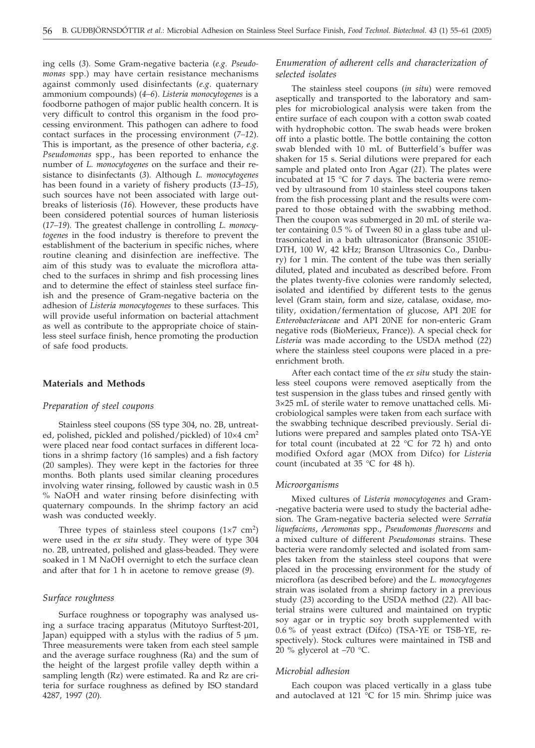ing cells (*3*)*.* Some Gram-negative bacteria (*e.g. Pseudomonas* spp.) may have certain resistance mechanisms against commonly used disinfectants (*e.g*. quaternary ammonium compounds) (*4–6*). *Listeria monocytogenes* is a foodborne pathogen of major public health concern. It is very difficult to control this organism in the food processing environment. This pathogen can adhere to food contact surfaces in the processing environment (*7–12*)*.* This is important, as the presence of other bacteria, *e.g*. *Pseudomonas* spp., has been reported to enhance the number of *L. monocytogenes* on the surface and their resistance to disinfectants (*3*)*.* Although *L. monocytogenes* has been found in a variety of fishery products (*13–15*)*,* such sources have not been associated with large outbreaks of listeriosis (*16*)*.* However, these products have been considered potential sources of human listeriosis (*17–19*)*.* The greatest challenge in controlling *L. monocytogenes* in the food industry is therefore to prevent the establishment of the bacterium in specific niches, where routine cleaning and disinfection are ineffective. The aim of this study was to evaluate the microflora attached to the surfaces in shrimp and fish processing lines and to determine the effect of stainless steel surface finish and the presence of Gram-negative bacteria on the adhesion of *Listeria monocytogenes* to these surfaces. This will provide useful information on bacterial attachment as well as contribute to the appropriate choice of stainless steel surface finish, hence promoting the production of safe food products.

## **Materials and Methods**

#### *Preparation of steel coupons*

Stainless steel coupons (SS type 304, no. 2B, untreated, polished, pickled and polished/pickled) of  $10\times4$  cm<sup>2</sup> were placed near food contact surfaces in different locations in a shrimp factory (16 samples) and a fish factory (20 samples). They were kept in the factories for three months. Both plants used similar cleaning procedures involving water rinsing, followed by caustic wash in 0.5 % NaOH and water rinsing before disinfecting with quaternary compounds. In the shrimp factory an acid wash was conducted weekly.

Three types of stainless steel coupons  $(1\times7 \text{ cm}^2)$ were used in the *ex situ* study. They were of type 304 no. 2B, untreated, polished and glass-beaded. They were soaked in 1 M NaOH overnight to etch the surface clean and after that for 1 h in acetone to remove grease (*9*).

## *Surface roughness*

Surface roughness or topography was analysed using a surface tracing apparatus (Mitutoyo Surftest-201, Japan) equipped with a stylus with the radius of  $5 \mu m$ . Three measurements were taken from each steel sample and the average surface roughness (Ra) and the sum of the height of the largest profile valley depth within a sampling length (Rz) were estimated. Ra and Rz are criteria for surface roughness as defined by ISO standard 4287, 1997 (*20*)*.*

## *Enumeration of adherent cells and characterization of selected isolates*

The stainless steel coupons (*in situ*) were removed aseptically and transported to the laboratory and samples for microbiological analysis were taken from the entire surface of each coupon with a cotton swab coated with hydrophobic cotton. The swab heads were broken off into a plastic bottle. The bottle containing the cotton swab blended with 10 mL of Butterfield´s buffer was shaken for 15 s. Serial dilutions were prepared for each sample and plated onto Iron Agar (*21*)*.* The plates were incubated at 15 °C for 7 days. The bacteria were removed by ultrasound from 10 stainless steel coupons taken from the fish processing plant and the results were compared to those obtained with the swabbing method. Then the coupon was submerged in 20 mL of sterile water containing 0.5 % of Tween 80 in a glass tube and ultrasonicated in a bath ultrasonicator (Bransonic 3510E-DTH, 100 W, 42 kHz; Branson Ultrasonics Co., Danbury) for 1 min. The content of the tube was then serially diluted, plated and incubated as described before. From the plates twenty-five colonies were randomly selected, isolated and identified by different tests to the genus level (Gram stain, form and size, catalase, oxidase, motility, oxidation/fermentation of glucose, API 20E for *Enterobacteriaceae* and API 20NE for non-enteric Gram negative rods (BioMerieux, France)). A special check for *Listeria* was made according to the USDA method (*22*) where the stainless steel coupons were placed in a preenrichment broth.

After each contact time of the *ex situ* study the stainless steel coupons were removed aseptically from the test suspension in the glass tubes and rinsed gently with 3×25 mL of sterile water to remove unattached cells. Microbiological samples were taken from each surface with the swabbing technique described previously. Serial dilutions were prepared and samples plated onto TSA-YE for total count (incubated at 22  $^{\circ}$ C for 72 h) and onto modified Oxford agar (MOX from Difco) for *Listeria* count (incubated at 35 °C for 48 h).

#### *Microorganisms*

Mixed cultures of *Listeria monocytogenes* and Gram- -negative bacteria were used to study the bacterial adhesion. The Gram-negative bacteria selected were *Serratia liquefaciens*, *Aeromonas* spp., *Pseudomonas fluorescens* and a mixed culture of different *Pseudomonas* strains. These bacteria were randomly selected and isolated from samples taken from the stainless steel coupons that were placed in the processing environment for the study of microflora (as described before) and the *L. monocytogenes* strain was isolated from a shrimp factory in a previous study (*23*) according to the USDA method (*22*)*.* All bacterial strains were cultured and maintained on tryptic soy agar or in tryptic soy broth supplemented with 0.6 % of yeast extract (Difco) (TSA-YE or TSB-YE, respectively). Stock cultures were maintained in TSB and 20 % glycerol at  $-70$  °C.

#### *Microbial adhesion*

Each coupon was placed vertically in a glass tube and autoclaved at 121  $^{\circ}$ C for 15 min. Shrimp juice was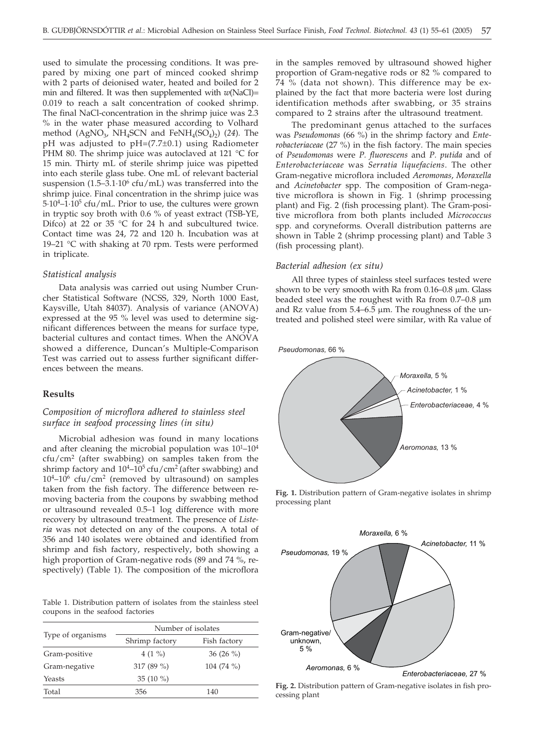used to simulate the processing conditions. It was prepared by mixing one part of minced cooked shrimp with 2 parts of deionised water, heated and boiled for 2 min and filtered. It was then supplemented with *w*(NaCl)= 0.019 to reach a salt concentration of cooked shrimp. The final NaCl-concentration in the shrimp juice was 2.3 % in the water phase measured according to Volhard method  $(AgNO<sub>3</sub>, NH<sub>4</sub>SCN$  and  $FeNH<sub>4</sub>(SO<sub>4</sub>)<sub>2</sub>$ ) (24)*.* The pH was adjusted to pH=(7.7±0.1) using Radiometer PHM 80. The shrimp juice was autoclaved at 121 °C for 15 min. Thirty mL of sterile shrimp juice was pipetted into each sterile glass tube. One mL of relevant bacterial suspension (1.5–3.1 $\cdot$ 10<sup>6</sup> cfu/mL) was transferred into the shrimp juice. Final concentration in the shrimp juice was 5·10<sup>4</sup>–1·10<sup>5</sup> cfu/mL. Prior to use, the cultures were grown in tryptic soy broth with 0.6 % of yeast extract (TSB-YE, Difco) at 22 or 35 °C for 24 h and subcultured twice. Contact time was 24, 72 and 120 h. Incubation was at 19–21 °C with shaking at 70 rpm. Tests were performed in triplicate.

#### *Statistical analysis*

Data analysis was carried out using Number Cruncher Statistical Software (NCSS, 329, North 1000 East, Kaysville, Utah 84037). Analysis of variance (ANOVA) expressed at the 95 % level was used to determine significant differences between the means for surface type, bacterial cultures and contact times. When the ANOVA showed a difference, Duncan's Multiple-Comparison Test was carried out to assess further significant differences between the means.

## **Results**

## *Composition of microflora adhered to stainless steel surface in seafood processing lines (in situ)*

Microbial adhesion was found in many locations and after cleaning the microbial population was  $10^{1}-10^{4}$  $ctu/cm<sup>2</sup>$  (after swabbing) on samples taken from the shrimp factory and  $10^4$ - $10^5$  cfu/cm<sup>2</sup> (after swabbing) and  $10^4$ – $10^6$  cfu/cm<sup>2</sup> (removed by ultrasound) on samples taken from the fish factory. The difference between removing bacteria from the coupons by swabbing method or ultrasound revealed 0.5–1 log difference with more recovery by ultrasound treatment. The presence of *Listeria* was not detected on any of the coupons. A total of 356 and 140 isolates were obtained and identified from shrimp and fish factory, respectively, both showing a high proportion of Gram-negative rods (89 and 74 %, respectively) (Table 1). The composition of the microflora

Table 1. Distribution pattern of isolates from the stainless steel coupons in the seafood factories

|                   | Number of isolates |              |  |  |  |  |
|-------------------|--------------------|--------------|--|--|--|--|
| Type of organisms | Shrimp factory     | Fish factory |  |  |  |  |
| Gram-positive     | 4 $(1\%$           | 36 $(26\%$   |  |  |  |  |
| Gram-negative     | 317 (89 %)         | 104 $(74\%$  |  |  |  |  |
| Yeasts            | 35 $(10\%)$        |              |  |  |  |  |
| Total             | 356                | 140          |  |  |  |  |

in the samples removed by ultrasound showed higher proportion of Gram-negative rods or 82 % compared to 74 % (data not shown). This difference may be explained by the fact that more bacteria were lost during identification methods after swabbing, or 35 strains compared to 2 strains after the ultrasound treatment.

The predominant genus attached to the surfaces was *Pseudomonas* (66 %) in the shrimp factory and *Enterobacteriaceae* (27 %) in the fish factory. The main species of *Pseudomonas* were *P. fluorescens* and *P. putida* and of *Enterobacteriaceae* was *Serratia liquefaciens*. The other Gram-negative microflora included *Aeromonas*, *Moraxella* and *Acinetobacter* spp. The composition of Gram-negative microflora is shown in Fig. 1 (shrimp processing plant) and Fig. 2 (fish processing plant). The Gram-positive microflora from both plants included *Micrococcus* spp. and coryneforms*.* Overall distribution patterns are shown in Table 2 (shrimp processing plant) and Table 3 (fish processing plant).

#### *Bacterial adhesion (ex situ)*

All three types of stainless steel surfaces tested were shown to be very smooth with Ra from  $0.16-0.8$  µm. Glass beaded steel was the roughest with Ra from  $0.7-0.8$   $\mu$ m and Rz value from  $5.4-6.5$  µm. The roughness of the untreated and polished steel were similar, with Ra value of



**Fig. 1.** Distribution pattern of Gram-negative isolates in shrimp processing plant



**Fig. 2.** Distribution pattern of Gram-negative isolates in fish processing plant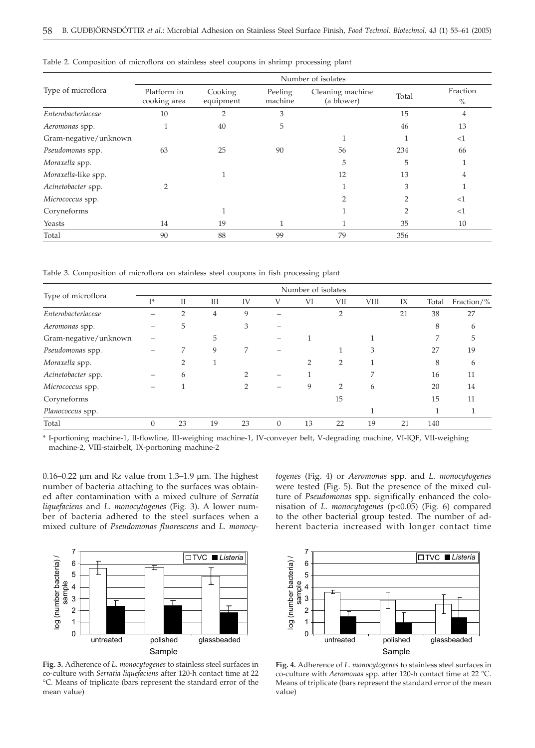| Type of microflora    | Number of isolates          |                      |                    |                                |               |                  |  |  |  |
|-----------------------|-----------------------------|----------------------|--------------------|--------------------------------|---------------|------------------|--|--|--|
|                       | Platform in<br>cooking area | Cooking<br>equipment | Peeling<br>machine | Cleaning machine<br>(a blower) | Total         | Fraction<br>$\%$ |  |  |  |
| Enterobacteriaceae    | 10                          | ◠                    | 3                  |                                | 15            | 4                |  |  |  |
| Aeromonas spp.        |                             | 40                   | 5                  |                                | 46            | 13               |  |  |  |
| Gram-negative/unknown |                             |                      |                    |                                |               | <1               |  |  |  |
| Pseudomonas spp.      | 63                          | 25                   | 90                 | 56                             | 234           | 66               |  |  |  |
| Moraxella spp.        |                             |                      |                    | 5                              | 5             |                  |  |  |  |
| Moraxella-like spp.   |                             |                      |                    | 12                             | 13            |                  |  |  |  |
| Acinetobacter spp.    |                             |                      |                    |                                | 3             |                  |  |  |  |
| Micrococcus spp.      |                             |                      |                    |                                | $\mathcal{D}$ | $<$ 1            |  |  |  |
| Coryneforms           |                             |                      |                    |                                | $\mathcal{D}$ | <1               |  |  |  |
| Yeasts                | 14                          | 19                   |                    |                                | 35            | 10               |  |  |  |
| Total                 | 90                          | 88                   | 99                 | 79                             | 356           |                  |  |  |  |

Table 2. Composition of microflora on stainless steel coupons in shrimp processing plant

Table 3. Composition of microflora on stainless steel coupons in fish processing plant

| Type of microflora    | Number of isolates |           |    |    |   |               |                |      |    |       |            |
|-----------------------|--------------------|-----------|----|----|---|---------------|----------------|------|----|-------|------------|
|                       | T*                 | $\rm{II}$ | Ш  | IV | V | VI            | VII            | VIII | IX | Total | Fraction/% |
| Enterobacteriaceae    |                    | 2         | 4  | 9  |   |               | $\overline{2}$ |      | 21 | 38    | 27         |
| Aeromonas spp.        |                    | 5         |    | 3  |   |               |                |      |    | 8     | 6          |
| Gram-negative/unknown |                    |           | 5  |    |   |               |                |      |    |       | 5          |
| Pseudomonas spp.      |                    |           | 9  | 7  |   |               |                | 3    |    | 27    | 19         |
| Moraxella spp.        |                    |           |    |    |   | $\mathcal{P}$ | $\overline{2}$ |      |    | 8     | 6          |
| Acinetobacter spp.    |                    | 6         |    |    |   |               |                |      |    | 16    | 11         |
| Micrococcus spp.      |                    |           |    |    |   | 9             | $\mathcal{P}$  | 6    |    | 20    | 14         |
| Coryneforms           |                    |           |    |    |   |               | 15             |      |    | 15    | 11         |
| Planococcus spp.      |                    |           |    |    |   |               |                |      |    |       |            |
| Total                 |                    | 23        | 19 | 23 |   | 13            | 22             | 19   | 21 | 140   |            |

\* I-portioning machine-1, II-flowline, III-weighing machine-1, IV-conveyer belt, V-degrading machine, VI-IQF, VII-weighing machine-2, VIII-stairbelt, IX-portioning machine-2

 $0.16-0.22$  µm and Rz value from 1.3–1.9 µm. The highest number of bacteria attaching to the surfaces was obtained after contamination with a mixed culture of *Serratia liquefaciens* and *L. monocytogenes* (Fig. 3). A lower number of bacteria adhered to the steel surfaces when a mixed culture of *Pseudomonas fluorescens* and *L. monocy-* *togenes* (Fig. 4) or *Aeromonas* spp. and *L. monocytogenes* were tested (Fig. 5). But the presence of the mixed culture of *Pseudomonas* spp. significally enhanced the colonisation of *L. monocytogenes* (p<0.05) (Fig. 6) compared to the other bacterial group tested. The number of adherent bacteria increased with longer contact time



**Fig. 3.** Adherence of *L. monocytogenes* to stainless steel surfaces in co-culture with *Serratia liquefaciens* after 120-h contact time at 22 °C. Means of triplicate (bars represent the standard error of the mean value)



**Fig. 4.** Adherence of *L. monocytogenes* to stainless steel surfaces in co-culture with *Aeromonas* spp. after 120-h contact time at 22 °C. Means of triplicate (bars represent the standard error of the mean value)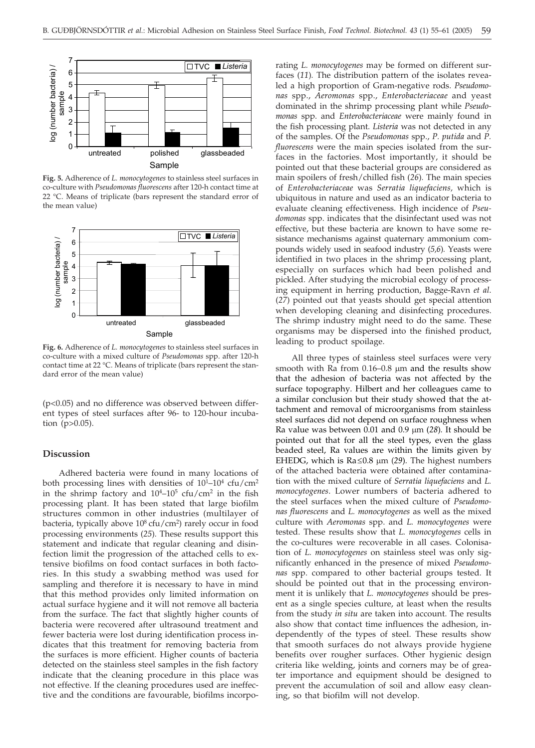

**Fig. 5.** Adherence of *L. monocytogenes* to stainless steel surfaces in co-culture with *Pseudomonas fluorescens* after 120-h contact time at 22 °C. Means of triplicate (bars represent the standard error of the mean value)



**Fig. 6.** Adherence of *L. monocytogenes* to stainless steel surfaces in co-culture with a mixed culture of *Pseudomonas* spp. after 120-h contact time at 22 °C. Means of triplicate (bars represent the standard error of the mean value)

(p<0.05) and no difference was observed between different types of steel surfaces after 96- to 120-hour incubation (p>0.05).

### **Discussion**

Adhered bacteria were found in many locations of both processing lines with densities of  $10^{1}$ – $10^{4}$  cfu/cm<sup>2</sup> in the shrimp factory and  $10^4$ - $10^5$  cfu/cm<sup>2</sup> in the fish processing plant. It has been stated that large biofilm structures common in other industries (multilayer of bacteria, typically above 10<sup>8</sup> cfu/cm<sup>2</sup>) rarely occur in food processing environments (*25*)*.* These results support this statement and indicate that regular cleaning and disinfection limit the progression of the attached cells to extensive biofilms on food contact surfaces in both factories. In this study a swabbing method was used for sampling and therefore it is necessary to have in mind that this method provides only limited information on actual surface hygiene and it will not remove all bacteria from the surface. The fact that slightly higher counts of bacteria were recovered after ultrasound treatment and fewer bacteria were lost during identification process indicates that this treatment for removing bacteria from the surfaces is more efficient. Higher counts of bacteria detected on the stainless steel samples in the fish factory indicate that the cleaning procedure in this place was not effective. If the cleaning procedures used are ineffective and the conditions are favourable, biofilms incorporating *L. monocytogenes* may be formed on different surfaces (*11*)*.* The distribution pattern of the isolates revealed a high proportion of Gram-negative rods. *Pseudomonas* spp., *Aeromonas* spp., *Enterobacteriaceae* and yeast dominated in the shrimp processing plant while *Pseudomonas* spp. and *Enterobacteriaceae* were mainly found in the fish processing plant. *Listeria* was not detected in any of the samples. Of the *Pseudomonas* spp., *P. putida* and *P. fluorescens* were the main species isolated from the surfaces in the factories. Most importantly, it should be pointed out that these bacterial groups are considered as main spoilers of fresh/chilled fish (*26*)*.* The main species of *Enterobacteriaceae* was *Serratia liquefaciens,* which is ubiquitous in nature and used as an indicator bacteria to evaluate cleaning effectiveness. High incidence of *Pseudomonas* spp. indicates that the disinfectant used was not effective, but these bacteria are known to have some resistance mechanisms against quaternary ammonium compounds widely used in seafood industry (*5,6*)*.* Yeasts were identified in two places in the shrimp processing plant, especially on surfaces which had been polished and pickled. After studying the microbial ecology of processing equipment in herring production, Bagge-Ravn *et al*. (*27*) pointed out that yeasts should get special attention when developing cleaning and disinfecting procedures. The shrimp industry might need to do the same. These organisms may be dispersed into the finished product, leading to product spoilage.

All three types of stainless steel surfaces were very smooth with Ra from  $0.16-0.8$  µm and the results show that the adhesion of bacteria was not affected by the surface topography. Hilbert and her colleagues came to a similar conclusion but their study showed that the attachment and removal of microorganisms from stainless steel surfaces did not depend on surface roughness when Ra value was between 0.01 and 0.9  $\mu$ m (28). It should be pointed out that for all the steel types, even the glass beaded steel, Ra values are within the limits given by EHEDG, which is  $Ra \leq 0.8 \mu m$  (29). The highest numbers of the attached bacteria were obtained after contamination with the mixed culture of *Serratia liquefaciens* and *L. monocytogenes*. Lower numbers of bacteria adhered to the steel surfaces when the mixed culture of *Pseudomonas fluorescens* and *L. monocytogenes* as well as the mixed culture with *Aeromonas* spp. and *L. monocytogenes* were tested. These results show that *L. monocytogenes* cells in the co-cultures were recoverable in all cases. Colonisation of *L. monocytogenes* on stainless steel was only significantly enhanced in the presence of mixed *Pseudomonas* spp. compared to other bacterial groups tested. It should be pointed out that in the processing environment it is unlikely that *L. monocytogenes* should be present as a single species culture, at least when the results from the study *in situ* are taken into account. The results also show that contact time influences the adhesion, independently of the types of steel. These results show that smooth surfaces do not always provide hygiene benefits over rougher surfaces. Other hygienic design criteria like welding, joints and corners may be of greater importance and equipment should be designed to prevent the accumulation of soil and allow easy cleaning, so that biofilm will not develop.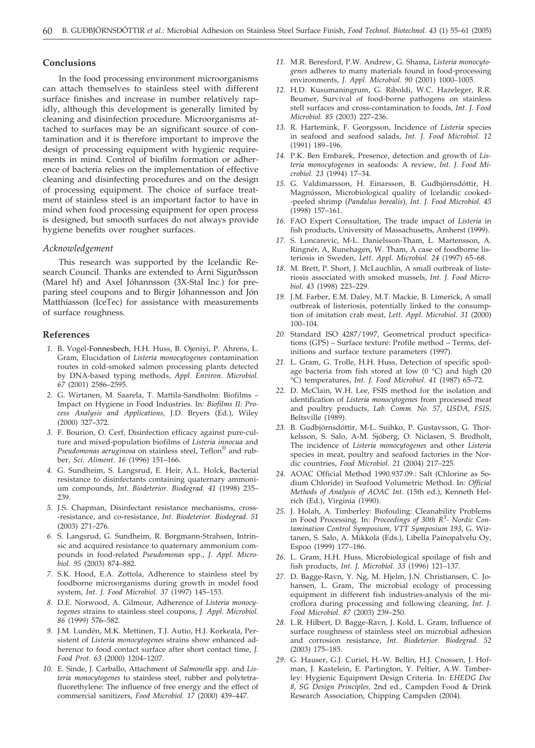#### **Conclusions**

In the food processing environment microorganisms can attach themselves to stainless steel with different surface finishes and increase in number relatively rapidly, although this development is generally limited by cleaning and disinfection procedure. Microorganisms attached to surfaces may be an significant source of contamination and it is therefore important to improve the design of processing equipment with hygienic requirements in mind. Control of biofilm formation or adherence of bacteria relies on the implementation of effective cleaning and disinfecting procedures and on the design of processing equipment. The choice of surface treatment of stainless steel is an important factor to have in mind when food processing equipment for open process is designed, but smooth surfaces do not always provide hygiene benefits over rougher surfaces.

### *Acknowledgement*

This research was supported by the Icelandic Research Council. Thanks are extended to Árni Sigurðsson (Marel hf) and Axel Jóhannsson (3X-Stal Inc.) for preparing steel coupons and to Birgir Jóhannesson and Jón Matthíasson (IceTec) for assistance with measurements of surface roughness.

#### **References**

- *1.* B. Vogel-Fonnesbech, H.H. Huss, B. Ojeniyi, P. Ahrens, L. Gram, Elucidation of *Listeria monocytogenes* contamination routes in cold-smoked salmon processing plants detected by DNA-based typing methods, *Appl. Environ. Microbiol. 67* (2001) 2586–2595.
- *2.* G. Wirtanen, M. Saarela, T. Mattila-Sandholm: Biofilms Impact on Hygiene in Food Industries. In: *Biofilms II: Process Analysis and Applications*, J.D. Bryers (Ed.), Wiley (2000) 327–372.
- *3.* F. Bourion, O. Cerf, Disinfection efficacy against pure-culture and mixed-population biofilms of *Listeria innocua* and *Pseudomonas aeruginosa* on stainless steel, Teflon® and rubber, *Sci. Aliment. 16* (1996) 151–166.
- *4.* G. Sundheim, S. Langsrud, E. Heir, A.L. Holck, Bacterial resistance to disinfectants containing quaternary ammonium compounds, *Int. Biodeterior. Biodegrad. 41* (1998) 235– 239.
- *5.* J.S. Chapman, Disinfectant resistance mechanisms, cross- -resistance, and co-resistance, *Int. Biodeterior. Biodegrad. 51* (2003) 271–276.
- *6.* S. Langsrud, G. Sundheim, R. Borgmann-Strahsen, Intrinsic and acquired resistance to quaternary ammonium compounds in food-related *Pseudomonas* spp., *J. Appl. Microbiol. 95* (2003) 874–882.
- *7.* S.K. Hood, E.A. Zottola, Adherence to stainless steel by foodborne microorganisms during growth in model food system, *Int. J. Food Microbiol. 37* (1997) 145–153.
- *8.* D.E. Norwood, A. Gilmour, Adherence of *Listeria monocytogenes* strains to stainless steel coupons, *J. Appl. Microbiol. 86* (1999) 576–582.
- *9.* J.M. Lundén, M.K. Mettinen, T.J. Autio, H.J. Korkeala, Persistent of *Listeria monocytogenes* strains show enhanced adherence to food contact surface after short contact time, *J. Food Prot. 63* (2000) 1204–1207.
- *10.* E. Sinde, J. Carballo, Attachment of *Salmonella* spp. and *Listeria monocytogenes* to stainless steel, rubber and polytetrafluorethylene: The influence of free energy and the effect of commercial sanitizers, *Food Microbiol. 17* (2000) 439–447.
- *11.* M.R. Beresford, P.W. Andrew, G. Shama, *Listeria monocytogenes* adheres to many materials found in food-processing environments, *J. Appl. Microbiol. 90* (2001) 1000–1005.
- *12.* H.D. Kusumaningrum, G. Riboldi, W.C. Hazeleger, R.R. Beumer, Survival of food-borne pathogens on stainless stell surfaces and cross-contamination to foods, *Int. J. Food Microbiol. 85* (2003) 227–236.
- *13.* R. Hartemink, F. Georgsson, Incidence of *Listeria* species in seafood and seafood salads, *Int. J. Food Microbiol. 12* (1991) 189–196.
- *14.* P.K. Ben Embarek, Presence, detection and growth of *Listeria monocytogenes* in seafoods: A review, *Int. J. Food Microbiol. 23* (1994) 17–34.
- *15.* G. Valdimarsson, H. Einarsson, B. Gudbjörnsdóttir, H. Magnússon, Microbiological quality of Icelandic cooked- -peeled shrimp (*Pandalus borealis*), *Int. J. Food Microbiol. 45* (1998) 157–161.
- *16.* FAO Expert Consultation, The trade impact of *Listeria* in fish products, University of Massachusetts, Amherst (1999).
- *17.* S. Loncarevic, M-L. Danielsson-Tham, L. Martensson, A. Ringnér, A, Runehagen, W. Tham, A case of foodborne listeriosis in Sweden, *Lett. Appl. Microbiol. 24* (1997) 65–68.
- *18.* M. Brett, P. Short, J. McLauchlin, A small outbreak of listeriosis associated with smoked mussels, *Int. J. Food Microbiol. 43* (1998) 223–229.
- *19.* J.M. Farber, E.M. Daley, M.T. Mackie, B. Limerick, A small outbreak of listeriosis, potentially linked to the consumption of imitation crab meat, *Lett. Appl. Microbiol. 31* (2000) 100–104.
- *20.* Standard ISO 4287/1997, Geometrical product specifications (GPS) – Surface texture: Profile method – Terms, definitions and surface texture parameters (1997).
- *21.* L. Gram, G. Trolle, H.H. Huss, Detection of specific spoilage bacteria from fish stored at low  $(0 \degree C)$  and high  $(20 \degree C)$ °C) temperatures, *Int. J. Food Microbiol. 41* (1987) 65–72.
- *22.* D. McClain, W.H. Lee, FSIS method for the isolation and identification of *Listeria monocytogenes* from processed meat and poultry products, *Lab. Comm. No. 57*, *USDA, FSIS,* Beltsville (1989).
- *23.* B. Gudbjörnsdóttir, M-L. Suihko, P. Gustavsson, G. Thorkelsson, S. Salo, A-M. Sjöberg, O. Niclasen, S. Bredholt, The incidence of *Listeria monocytogenes* and other *Listeria* species in meat, poultry and seafood factories in the Nordic countries, *Food Microbiol. 21* (2004) 217–225.
- *24.* AOAC Official Method 1990.937.09.: Salt (Chlorine as Sodium Chloride) in Seafood Volumetric Method. In: *Official Methods of Analysis of AOAC Int*. (15th ed.), Kenneth Helrich (Ed.), Virginia (1990).
- *25.* J. Holah, A. Timberley: Biofouling: Cleanability Problems in Food Processing. In: *Proceedings of 30th R<sup>3</sup> - Nordic Contamination Control Symposium*, *VTT Symposium 193*, G. Wirtanen, S. Salo, A. Mikkola (Eds.), Libella Painopalvelu Oy, Espoo (1999) 177–186.
- *26.* L. Gram, H.H. Huss, Microbiological spoilage of fish and fish products, *Int. J. Microbiol. 33* (1996) 121–137.
- *27.* D. Bagge-Ravn, Y. Ng, M. Hjelm, J.N. Christiansen, C. Johansen, L. Gram, The microbial ecology of processing equipment in different fish industries-analysis of the microflora during processing and following cleaning, *Int. J. Food Microbiol. 87* (2003) 239–250.
- *28.* L.R. Hilbert, D. Bagge-Ravn, J. Kold, L. Gram, Influence of surface roughness of stainless steel on microbial adhesion and corrosion resistance, *Int. Biodeterior. Biodegrad. 52* (2003) 175–185.
- *29.* G. Hauser, G.J. Curiel, H.-W. Bellin, H.J. Cnossen, J. Hofman, J. Kastelein, E. Partington, Y. Peltier, A.W. Timberley: Hygienic Equipment Design Criteria. In: *EHEDG Doc 8, SG Design Principles,* 2nd ed., Campden Food & Drink Research Association, Chipping Campden (2004).